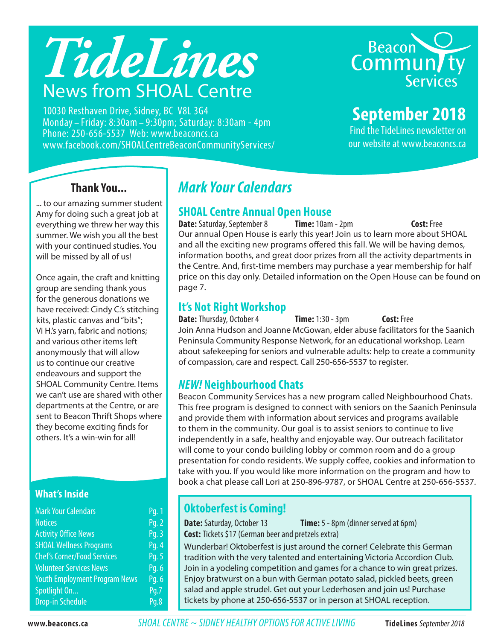# *TideLines* News from SHOAL Centre

10030 Resthaven Drive, Sidney, BC V8L 3G4 Monday – Friday: 8:30am – 9:30pm; Saturday: 8:30am - 4pm Phone: 250-656-5537 Web: www.beaconcs.ca www.facebook.com/SHOALCentreBeaconCommunityServices/



# **September 2018**

Find the TideLines newsletter on our website at www.beaconcs.ca

### **Thank You...**

... to our amazing summer student Amy for doing such a great job at everything we threw her way this summer. We wish you all the best with your continued studies. You will be missed by all of us!

Once again, the craft and knitting group are sending thank yous for the generous donations we have received: Cindy C.'s stitching kits, plastic canvas and "bits"; Vi H.'s yarn, fabric and notions; and various other items left anonymously that will allow us to continue our creative endeavours and support the SHOAL Community Centre. Items we can't use are shared with other departments at the Centre, or are sent to Beacon Thrift Shops where they become exciting finds for others. It's a win-win for all!

### **What's Inside**

| <b>Mark Your Calendars</b>           | Pq. 1 |
|--------------------------------------|-------|
| <b>Notices</b>                       | Pg. 2 |
| <b>Activity Office News</b>          | Pg. 3 |
| <b>SHOAL Wellness Programs</b>       | Pg. 4 |
| <b>Chef's Corner/Food Services</b>   | Pg. 5 |
| <b>Volunteer Services News</b>       | Pg. 6 |
| <b>Youth Employment Program News</b> | Pg. 6 |
| Spotlight On                         | Pq.7  |
| <b>Drop-in Schedule</b>              | Pq.8  |

# *Mark Your Calendars*

### **SHOAL Centre Annual Open House**

Our annual Open House is early this year! Join us to learn more about SHOAL and all the exciting new programs offered this fall. We will be having demos, information booths, and great door prizes from all the activity departments in the Centre. And, first-time members may purchase a year membership for half price on this day only. Detailed information on the Open House can be found on page 7. **Date:** Saturday, September 8 **Time:** 10am - 2pm **Cost: Free** 

### **It's Not Right Workshop**

**Date:** Thursday, October 4 **Time:** 1:30 - 3pm **Cost:** Free Join Anna Hudson and Joanne McGowan, elder abuse facilitators for the Saanich Peninsula Community Response Network, for an educational workshop. Learn about safekeeping for seniors and vulnerable adults: help to create a community of compassion, care and respect. Call 250-656-5537 to register.

### *NEW!* **Neighbourhood Chats**

Beacon Community Services has a new program called Neighbourhood Chats. This free program is designed to connect with seniors on the Saanich Peninsula and provide them with information about services and programs available to them in the community. Our goal is to assist seniors to continue to live independently in a safe, healthy and enjoyable way. Our outreach facilitator will come to your condo building lobby or common room and do a group presentation for condo residents. We supply coffee, cookies and information to take with you. If you would like more information on the program and how to book a chat please call Lori at 250-896-9787, or SHOAL Centre at 250-656-5537.

### **Oktoberfest is Coming!**

**Date:** Saturday, October 13 **Time:** 5 - 8pm (dinner served at 6pm) **Cost:** Tickets \$17 (German beer and pretzels extra)

Wunderbar! Oktoberfest is just around the corner! Celebrate this German tradition with the very talented and entertaining Victoria Accordion Club. Join in a yodeling competition and games for a chance to win great prizes. Enjoy bratwurst on a bun with German potato salad, pickled beets, green salad and apple strudel. Get out your Lederhosen and join us! Purchase tickets by phone at 250-656-5537 or in person at SHOAL reception.

**www.beaconcs.ca** *SHOAL CENTRE ~ SIDNEY HEALTHY OPTIONS FOR ACTIVE LIVING* **TideLines** September 2018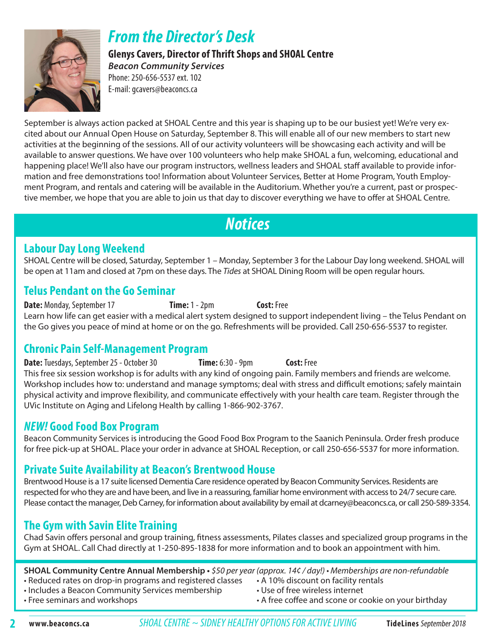

# *From the Director's Desk*

**Glenys Cavers, Director of Thrift Shops and SHOAL Centre**  *Beacon Community Services*

Phone: 250-656-5537 ext. 102 E-mail: gcavers@beaconcs.ca

September is always action packed at SHOAL Centre and this year is shaping up to be our busiest yet! We're very excited about our Annual Open House on Saturday, September 8. This will enable all of our new members to start new activities at the beginning of the sessions. All of our activity volunteers will be showcasing each activity and will be available to answer questions. We have over 100 volunteers who help make SHOAL a fun, welcoming, educational and happening place! We'll also have our program instructors, wellness leaders and SHOAL staff available to provide information and free demonstrations too! Information about Volunteer Services, Better at Home Program, Youth Employment Program, and rentals and catering will be available in the Auditorium. Whether you're a current, past or prospective member, we hope that you are able to join us that day to discover everything we have to offer at SHOAL Centre.

# *Notices*

### **Labour Day Long Weekend**

SHOAL Centre will be closed, Saturday, September 1 – Monday, September 3 for the Labour Day long weekend. SHOAL will be open at 11am and closed at 7pm on these days. The *Tides* at SHOAL Dining Room will be open regular hours.

### **Telus Pendant on the Go Seminar**

**Date:** Monday, September 17 **Time:** 1 - 2pm **Cost:** Free Learn how life can get easier with a medical alert system designed to support independent living – the Telus Pendant on the Go gives you peace of mind at home or on the go. Refreshments will be provided. Call 250-656-5537 to register.

### **Chronic Pain Self-Management Program**

**Date:** Tuesdays, September 25 - October 30 **Time:** 6:30 - 9pm **Cost:** Free This free six session workshop is for adults with any kind of ongoing pain. Family members and friends are welcome. Workshop includes how to: understand and manage symptoms; deal with stress and difficult emotions; safely maintain physical activity and improve flexibility, and communicate effectively with your health care team. Register through the UVic Institute on Aging and Lifelong Health by calling 1-866-902-3767.

### *NEW!* **Good Food Box Program**

Beacon Community Services is introducing the Good Food Box Program to the Saanich Peninsula. Order fresh produce for free pick-up at SHOAL. Place your order in advance at SHOAL Reception, or call 250-656-5537 for more information.

### **Private Suite Availability at Beacon's Brentwood House**

Brentwood House is a 17 suite licensed Dementia Care residence operated by Beacon Community Services. Residents are respected for who they are and have been, and live in a reassuring, familiar home environment with access to 24/7 secure care. Please contact the manager, Deb Carney, for information about availability by email at dcarney@beaconcs.ca, or call 250-589-3354.

### **The Gym with Savin Elite Training**

Chad Savin offers personal and group training, fitness assessments, Pilates classes and specialized group programs in the Gym at SHOAL. Call Chad directly at 1-250-895-1838 for more information and to book an appointment with him.

**SHOAL Community Centre Annual Membership •** \$50 per year (approx. 14¢ / day!) • Memberships are non-refundable

- Reduced rates on drop-in programs and registered classes A 10% discount on facility rentals
- Includes a Beacon Community Services membership Use of free wireless internet
- 
- 
- 
- Free seminars and workshops  **A** free coffee and scone or cookie on your birthday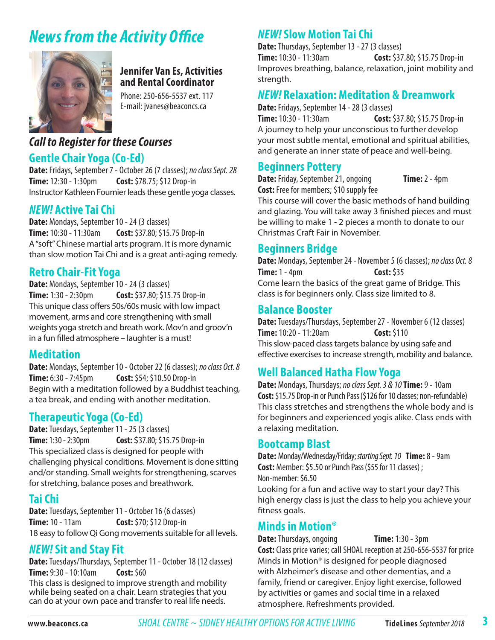# *News from the Activity Office*



### **Jennifer Van Es, Activities and Rental Coordinator**

Phone: 250-656-5537 ext. 117 E-mail: jvanes@beaconcs.ca

### *Call to Register for these Courses*

### **Gentle Chair Yoga (Co-Ed)**

**Date:** Fridays, September 7 - October 26 (7 classes); *no class Sept. 28* **Time:** 12:30 - 1:30pm **Cost:** \$78.75; \$12 Drop-in Instructor Kathleen Fournier leads these gentle yoga classes.

### *NEW!* **Active Tai Chi**

**Date:** Mondays, September 10 - 24 (3 classes) **Time:** 10:30 - 11:30am **Cost:** \$37.80; \$15.75 Drop-in A "soft" Chinese martial arts program. It is more dynamic than slow motion Tai Chi and is a great anti-aging remedy.

### **Retro Chair-Fit Yoga**

**Date:** Mondays, September 10 - 24 (3 classes) **Time:** 1:30 - 2:30pm **Cost:** \$37.80; \$15.75 Drop-in This unique class offers 50s/60s music with low impact movement, arms and core strengthening with small weights yoga stretch and breath work. Mov'n and groov'n in a fun filled atmosphere – laughter is a must!

### **Meditation**

**Date:** Mondays, September 10 - October 22 (6 classes); *no class Oct. 8* **Time:** 6:30 - 7:45pm **Cost:** \$54; \$10.50 Drop-in Begin with a meditation followed by a Buddhist teaching, a tea break, and ending with another meditation.

### **Therapeutic Yoga (Co-Ed)**

**Date:** Tuesdays, September 11 - 25 (3 classes) **Time:** 1:30 - 2:30pm **Cost:** \$37.80; \$15.75 Drop-in This specialized class is designed for people with challenging physical conditions. Movement is done sitting and/or standing. Small weights for strengthening, scarves for stretching, balance poses and breathwork.

### **Tai Chi**

**Date:** Tuesdays, September 11 - October 16 (6 classes) **Time:** 10 - 11am **Cost:** \$70; \$12 Drop-in 18 easy to follow Qi Gong movements suitable for all levels.

### *NEW!* **Sit and Stay Fit**

**Date:** Tuesdays/Thursdays, September 11 - October 18 (12 classes) **Time:** 9:30 - 10:10am **Cost:** \$60

This class is designed to improve strength and mobility while being seated on a chair. Learn strategies that you can do at your own pace and transfer to real life needs.

### *NEW!* **Slow Motion Tai Chi**

**Date:** Thursdays, September 13 - 27 (3 classes) **Time:** 10:30 - 11:30am **Cost:** \$37.80; \$15.75 Drop-in Improves breathing, balance, relaxation, joint mobility and strength.

### *NEW!* **Relaxation: Meditation & Dreamwork**

**Date:** Fridays, September 14 - 28 (3 classes)

**Time:** 10:30 - 11:30am **Cost:** \$37.80; \$15.75 Drop-in A journey to help your unconscious to further develop your most subtle mental, emotional and spiritual abilities, and generate an inner state of peace and well-being.

### **Beginners Pottery**

**Date:** Friday, September 21, ongoing **Time:** 2 - 4pm **Cost:** Free for members; \$10 supply fee

This course will cover the basic methods of hand building and glazing. You will take away 3 finished pieces and must be willing to make 1 - 2 pieces a month to donate to our Christmas Craft Fair in November.

### **Beginners Bridge**

**Date:** Mondays, September 24 - November 5 (6 classes); *no class Oct. 8* **Time:** 1 - 4pm **Cost:** \$35 Come learn the basics of the great game of Bridge. This class is for beginners only. Class size limited to 8.

### **Balance Booster**

**Date:** Tuesdays/Thursdays, September 27 - November 6 (12 classes) **Time:** 10:20 - 11:20am **Cost:** \$110 This slow-paced class targets balance by using safe and effective exercises to increase strength, mobility and balance.

### **Well Balanced Hatha Flow Yoga**

**Date:** Mondays, Thursdays; *no class Sept. 3 & 10***Time:** 9 - 10am **Cost:** \$15.75 Drop-in or Punch Pass(\$126 for 10 classes; non-refundable) This class stretches and strengthens the whole body and is for beginners and experienced yogis alike. Class ends with a relaxing meditation.

### **Bootcamp Blast**

**Date:** Monday/Wednesday/Friday; *starting Sept. 10* **Time:** 8 - 9am **Cost:** Member: \$5.50 or Punch Pass(\$55 for 11 classes) ; Non-member: \$6.50

Looking for a fun and active way to start your day? This high energy class is just the class to help you achieve your fitness goals.

### **Minds in Motion®**

**Date:** Thursdays, ongoing **Time:** 1:30 - 3pm

**Cost:** Class price varies; call SHOAL reception at 250-656-5537 for price Minds in Motion® is designed for people diagnosed with Alzheimer's disease and other dementias, and a family, friend or caregiver. Enjoy light exercise, followed by activities or games and social time in a relaxed atmosphere. Refreshments provided.

**3**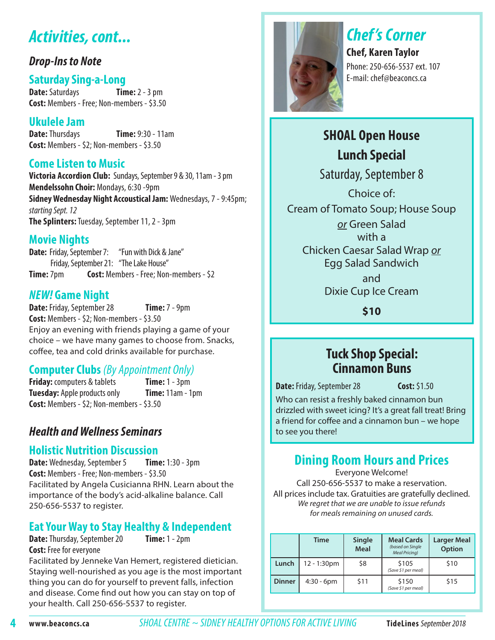# *Activities, cont...*

### *Drop-Ins to Note*

### **Saturday Sing-a-Long**

**Date:** Saturdays **Time:** 2 - 3 pm **Cost:** Members - Free; Non-members - \$3.50

# **Ukulele Jam**

**Time: 9:30 - 11am Cost:** Members - \$2; Non-members - \$3.50

### **Come Listen to Music**

**Victoria Accordion Club:** Sundays, September 9 & 30, 11am - 3 pm **Mendelssohn Choir:** Mondays, 6:30 -9pm **Sidney Wednesday Night Accoustical Jam:** Wednesdays, 7 - 9:45pm; *starting Sept. 12*  **The Splinters:** Tuesday, September 11, 2 - 3pm

### **Movie Nights**

**Date:** Friday, September 7: "Fun with Dick & Jane" Friday, September 21: "The Lake House" **Time:** 7pm **Cost:** Members - Free; Non-members - \$2

### *NEW!* **Game Night**

**Date:** Friday, September 28 **Time:** 7 - 9pm **Cost:** Members - \$2; Non-members - \$3.50 Enjoy an evening with friends playing a game of your choice – we have many games to choose from. Snacks, coffee, tea and cold drinks available for purchase.

### **Computer Clubs** *(By Appointment Only)*

**Friday:** computers & tablets **Time:** 1 - 3pm **Tuesday:** Apple products only **Time:** 11am - 1pm **Cost:** Members - \$2; Non-members - \$3.50

### *Health and Wellness Seminars*

### **Holistic Nutrition Discussion**

**Date:** Wednesday, September 5 **Time:** 1:30 - 3pm **Cost:** Members - Free; Non-members - \$3.50 Facilitated by Angela Cusicianna RHN. Learn about the importance of the body's acid-alkaline balance. Call 250-656-5537 to register.

# **Eat Your Way to Stay Healthy & Independent**

**Date:** Thursday, September 20 **Cost:** Free for everyone

Facilitated by Jenneke Van Hemert, registered dietician. Staying well-nourished as you age is the most important thing you can do for yourself to prevent falls, infection and disease. Come find out how you can stay on top of your health. Call 250-656-5537 to register.



# *Chef 's Corner*

**Chef, Karen Taylor** Phone: 250-656-5537 ext. 107 E-mail: chef@beaconcs.ca

# **SHOAL Open House Lunch Special**

Saturday, September 8

Choice of: Cream of Tomato Soup; House Soup *or* Green Salad

with a Chicken Caesar Salad Wrap *or* Egg Salad Sandwich

> and Dixie Cup Ice Cream

> > **\$10**

### **Tuck Shop Special: Cinnamon Buns**

**Date:** Friday, September 28 **Cost:** \$1.50

Who can resist a freshly baked cinnamon bun drizzled with sweet icing? It's a great fall treat! Bring a friend for coffee and a cinnamon bun – we hope to see you there!

# **Dining Room Hours and Prices**

Everyone Welcome! Call 250-656-5537 to make a reservation. All prices include tax. Gratuities are gratefully declined. We regret that we are unable to issue refunds for meals remaining on unused cards.

|               | <b>Time</b>   | Single<br><b>Meal</b> | <b>Meal Cards</b><br>(based on Single<br><b>Meal Pricing)</b> | <b>Larger Meal</b><br>Option |  |  |  |  |
|---------------|---------------|-----------------------|---------------------------------------------------------------|------------------------------|--|--|--|--|
| Lunch         | $12 - 1:30pm$ | \$8                   | \$105<br>(Save \$1 per meal)                                  | \$10                         |  |  |  |  |
| <b>Dinner</b> | $4:30 - 6$ pm | \$11                  | \$150<br>(Save \$1 per meal)                                  | \$15                         |  |  |  |  |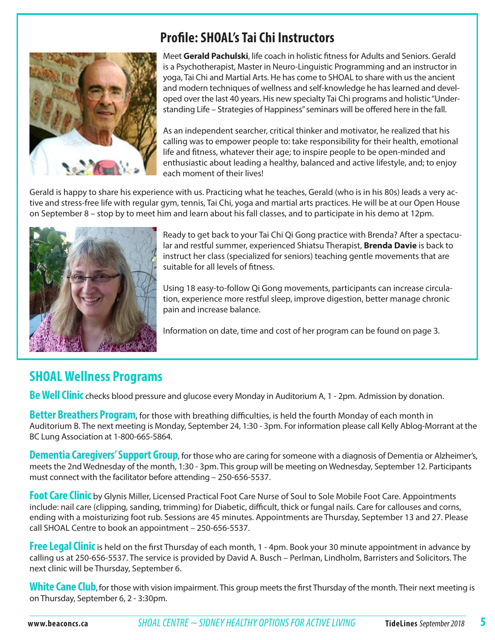# **Profile: SHOAL's Tai Chi Instructors**



Meet **Gerald Pachulski**, life coach in holistic fitness for Adults and Seniors. Gerald is a Psychotherapist, Master in Neuro-Linguistic Programming and an instructor in yoga, Tai Chi and Martial Arts. He has come to SHOAL to share with us the ancient and modern techniques of wellness and self-knowledge he has learned and developed over the last 40 years. His new specialty Tai Chi programs and holistic "Understanding Life – Strategies of Happiness" seminars will be offered here in the fall.

As an independent searcher, critical thinker and motivator, he realized that his calling was to empower people to: take responsibility for their health, emotional life and fitness, whatever their age; to inspire people to be open-minded and enthusiastic about leading a healthy, balanced and active lifestyle, and; to enjoy each moment of their lives!

Gerald is happy to share his experience with us. Practicing what he teaches, Gerald (who is in his 80s) leads a very active and stress-free life with regular gym, tennis, Tai Chi, yoga and martial arts practices. He will be at our Open House on September 8 – stop by to meet him and learn about his fall classes, and to participate in his demo at 12pm.



Ready to get back to your Tai Chi Qi Gong practice with Brenda? After a spectacular and restful summer, experienced Shiatsu Therapist, **Brenda Davie** is back to instruct her class (specialized for seniors) teaching gentle movements that are suitable for all levels of fitness.

Using 18 easy-to-follow Qi Gong movements, participants can increase circulation, experience more restful sleep, improve digestion, better manage chronic pain and increase balance.

Information on date, time and cost of her program can be found on page 3.

# **SHOAL Wellness Programs**

**Be Well Clinic** checks blood pressure and glucose every Monday in Auditorium A, 1 - 2pm. Admission by donation.

**Better Breathers Program**, for those with breathing difficulties, is held the fourth Monday of each month in Auditorium B. The next meeting is Monday, September 24, 1:30 - 3pm. For information please call Kelly Ablog-Morrant at the BC Lung Association at 1-800-665-5864.

**Dementia Caregivers' Support Group**, for those who are caring for someone with a diagnosis of Dementia or Alzheimer's, meets the 2nd Wednesday of the month, 1:30 - 3pm. This group will be meeting on Wednesday, September 12. Participants must connect with the facilitator before attending – 250-656-5537.

**Foot Care Clinic** by Glynis Miller, Licensed Practical Foot Care Nurse of Soul to Sole Mobile Foot Care. Appointments include: nail care (clipping, sanding, trimming) for Diabetic, difficult, thick or fungal nails. Care for callouses and corns, ending with a moisturizing foot rub. Sessions are 45 minutes. Appointments are Thursday, September 13 and 27. Please call SHOAL Centre to book an appointment – 250-656-5537.

**Free Legal Clinic**is held on the first Thursday of each month, 1 - 4pm. Book your 30 minute appointment in advance by calling us at 250-656-5537. The service is provided by David A. Busch – Perlman, Lindholm, Barristers and Solicitors. The next clinic will be Thursday, September 6.

**White Cane Club**,for those with vision impairment. This group meets the first Thursday of the month. Their next meeting is on Thursday, September 6, 2 - 3:30pm.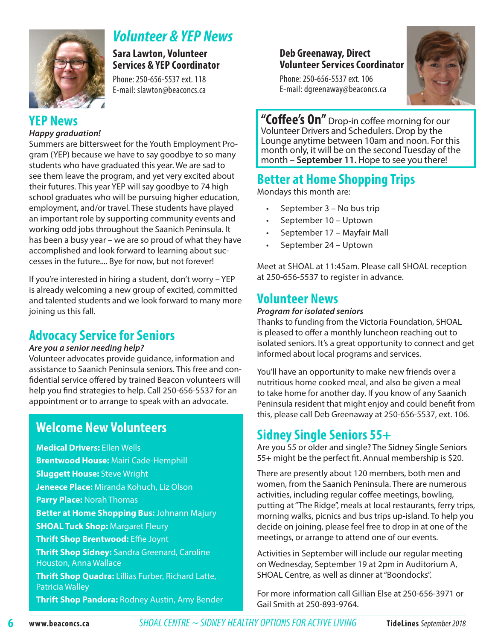

# *Volunteer & YEP News*

**Sara Lawton, Volunteer Services & YEP Coordinator** 

Phone: 250-656-5537 ext. 118 E-mail: slawton@beaconcs.ca

### **YEP News**

### *Happy graduation!*

Summers are bittersweet for the Youth Employment Program (YEP) because we have to say goodbye to so many students who have graduated this year. We are sad to see them leave the program, and yet very excited about their futures. This year YEP will say goodbye to 74 high school graduates who will be pursuing higher education, employment, and/or travel. These students have played an important role by supporting community events and working odd jobs throughout the Saanich Peninsula. It has been a busy year – we are so proud of what they have accomplished and look forward to learning about successes in the future.... Bye for now, but not forever!

If you're interested in hiring a student, don't worry – YEP is already welcoming a new group of excited, committed and talented students and we look forward to many more joining us this fall.

### **Advocacy Service for Seniors**

### *Are you a senior needing help?*

Volunteer advocates provide guidance, information and assistance to Saanich Peninsula seniors. This free and confidential service offered by trained Beacon volunteers will help you find strategies to help. Call 250-656-5537 for an appointment or to arrange to speak with an advocate.

### **Welcome New Volunteers**

**Medical Drivers:** Ellen Wells **Brentwood House:** Mairi Cade-Hemphill **Sluggett House:** Steve Wright **Jeneece Place:** Miranda Kohuch, Liz Olson **Parry Place:** Norah Thomas **Better at Home Shopping Bus:** Johnann Majury **SHOAL Tuck Shop: Margaret Fleury Thrift Shop Brentwood:** Effie Joynt **Thrift Shop Sidney:** Sandra Greenard, Caroline Houston, Anna Wallace **Thrift Shop Quadra:** Lillias Furber, Richard Latte, Patricia Walley **Thrift Shop Pandora:** Rodney Austin, Amy Bender

### **Deb Greenaway, Direct Volunteer Services Coordinator**

Phone: 250-656-5537 ext. 106 E-mail: dgreenaway@beaconcs.ca



**"Coffee's On"** Drop-in coffee morning for our Volunteer Drivers and Schedulers. Drop by the Lounge anytime between 10am and noon. For this month only, it will be on the second Tuesday of the month – **September 11.** Hope to see you there!

# **Better at Home Shopping Trips**

Mondays this month are:

- September 3 No bus trip
- September 10 Uptown
- September 17 Mayfair Mall
- September 24 Uptown

Meet at SHOAL at 11:45am. Please call SHOAL reception at 250-656-5537 to register in advance.

### **Volunteer News**

### *Program for isolated seniors*

Thanks to funding from the Victoria Foundation, SHOAL is pleased to offer a monthly luncheon reaching out to isolated seniors. It's a great opportunity to connect and get informed about local programs and services.

You'll have an opportunity to make new friends over a nutritious home cooked meal, and also be given a meal to take home for another day. If you know of any Saanich Peninsula resident that might enjoy and could benefit from this, please call Deb Greenaway at 250-656-5537, ext. 106.

### **Sidney Single Seniors 55+**

Are you 55 or older and single? The Sidney Single Seniors 55+ might be the perfect fit. Annual membership is \$20.

There are presently about 120 members, both men and women, from the Saanich Peninsula. There are numerous activities, including regular coffee meetings, bowling, putting at "The Ridge", meals at local restaurants, ferry trips, morning walks, picnics and bus trips up-island. To help you decide on joining, please feel free to drop in at one of the meetings, or arrange to attend one of our events.

Activities in September will include our regular meeting on Wednesday, September 19 at 2pm in Auditorium A, SHOAL Centre, as well as dinner at "Boondocks".

For more information call Gillian Else at 250-656-3971 or Gail Smith at 250-893-9764.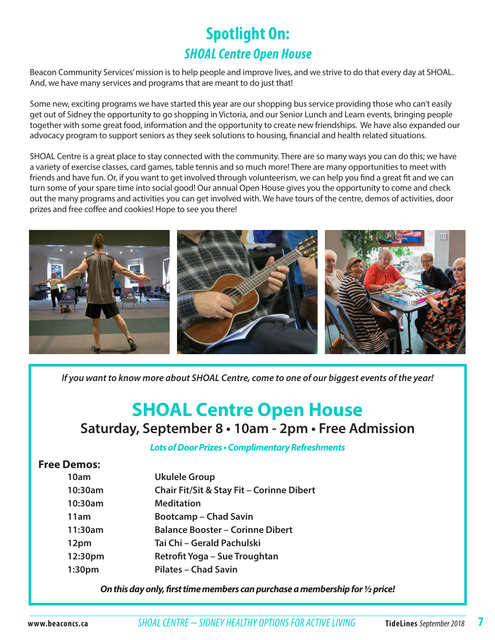# **Spotlight On:** *SHOAL Centre Open House*

Beacon Community Services' mission is to help people and improve lives, and we strive to do that every day at SHOAL. And, we have many services and programs that are meant to do just that!

Some new, exciting programs we have started this year are our shopping bus service providing those who can't easily get out of Sidney the opportunity to go shopping in Victoria, and our Senior Lunch and Learn events, bringing people together with some great food, information and the opportunity to create new friendships. We have also expanded our advocacy program to support seniors as they seek solutions to housing, financial and health related situations.

SHOAL Centre is a great place to stay connected with the community. There are so many ways you can do this; we have a variety of exercise classes, card games, table tennis and so much more! There are many opportunities to meet with friends and have fun. Or, if you want to get involved through volunteerism, we can help you find a great fit and we can turn some of your spare time into social good! Our annual Open House gives you the opportunity to come and check out the many programs and activities you can get involved with. We have tours of the centre, demos of activities, door prizes and free coffee and cookies! Hope to see you there!



*If you want to know more about SHOAL Centre, come to one of our biggest events of the year!*

# **SHOAL Centre Open House Saturday, September 8 • 10am - 2pm • Free Admission**

### **Lots of Door Prizes • Complimentary Refreshments**

### **Free Demos:**

| 10am               | <b>Ukulele Group</b>                      |
|--------------------|-------------------------------------------|
| 10:30am            | Chair Fit/Sit & Stay Fit - Corinne Dibert |
| 10:30am            | <b>Meditation</b>                         |
| 11am               | <b>Bootcamp - Chad Savin</b>              |
| 11:30am            | <b>Balance Booster - Corinne Dibert</b>   |
| 12pm               | Tai Chi - Gerald Pachulski                |
| 12:30pm            | Retrofit Yoga – Sue Troughtan             |
| 1:30 <sub>pm</sub> | <b>Pilates - Chad Savin</b>               |
|                    |                                           |

**On this day only, first time members can purchase a membership for ½ price!**